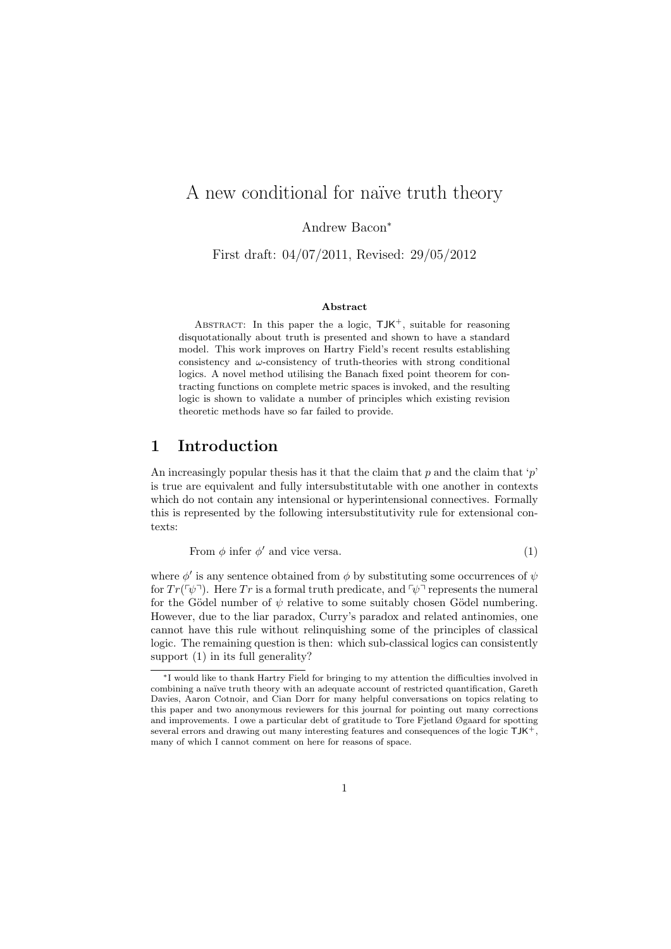# A new conditional for naïve truth theory

Andrew Bacon<sup>∗</sup>

First draft: 04/07/2011, Revised: 29/05/2012

#### Abstract

ABSTRACT: In this paper the a logic,  $TJK^+$ , suitable for reasoning disquotationally about truth is presented and shown to have a standard model. This work improves on Hartry Field's recent results establishing consistency and  $\omega$ -consistency of truth-theories with strong conditional logics. A novel method utilising the Banach fixed point theorem for contracting functions on complete metric spaces is invoked, and the resulting logic is shown to validate a number of principles which existing revision theoretic methods have so far failed to provide.

### 1 Introduction

An increasingly popular thesis has it that the claim that  $p$  and the claim that 'p' is true are equivalent and fully intersubstitutable with one another in contexts which do not contain any intensional or hyperintensional connectives. Formally this is represented by the following intersubstitutivity rule for extensional contexts:

From  $\phi$  infer  $\phi'$  and vice versa. (1)

where  $\phi'$  is any sentence obtained from  $\phi$  by substituting some occurrences of  $\psi$ for  $Tr(\psi^{\dagger})$ . Here Tr is a formal truth predicate, and  $\psi^{\dagger}$  represents the numeral for the Gödel number of  $\psi$  relative to some suitably chosen Gödel numbering. However, due to the liar paradox, Curry's paradox and related antinomies, one cannot have this rule without relinquishing some of the principles of classical logic. The remaining question is then: which sub-classical logics can consistently support (1) in its full generality?

<sup>∗</sup>I would like to thank Hartry Field for bringing to my attention the difficulties involved in combining a naïve truth theory with an adequate account of restricted quantification, Gareth Davies, Aaron Cotnoir, and Cian Dorr for many helpful conversations on topics relating to this paper and two anonymous reviewers for this journal for pointing out many corrections and improvements. I owe a particular debt of gratitude to Tore Fjetland Øgaard for spotting several errors and drawing out many interesting features and consequences of the logic TJK+, many of which I cannot comment on here for reasons of space.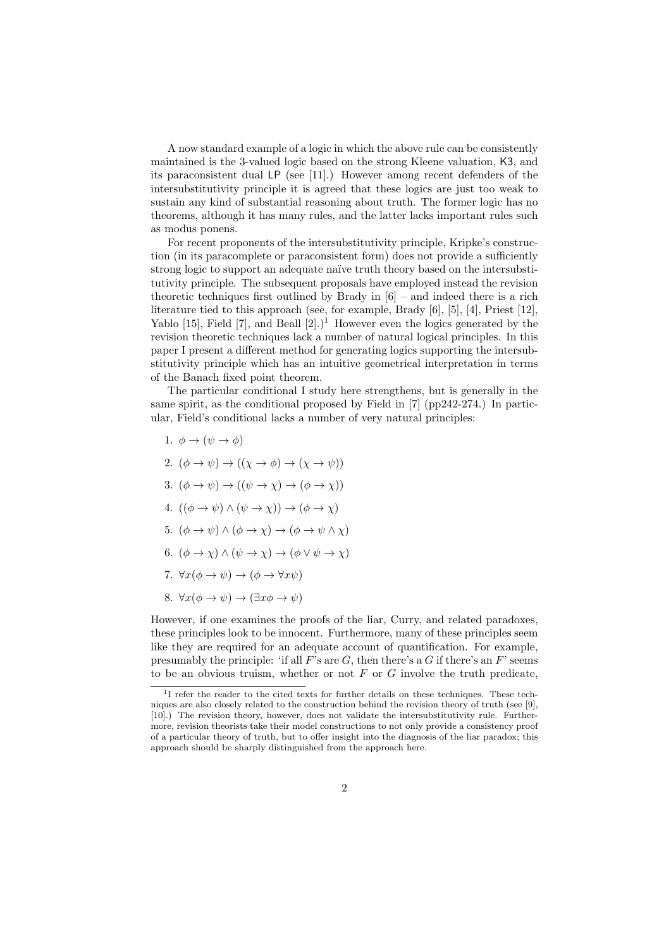A now standard example of a logic in which the above rule can be consistently maintained is the 3-valued logic based on the strong Kleene valuation, K3, and its paraconsistent dual LP (see [11].) However among recent defenders of the intersubstitutivity principle it is agreed that these logics are just too weak to sustain any kind of substantial reasoning about truth. The former logic has no theorems, although it has many rules, and the latter lacks important rules such as modus ponens.

For recent proponents of the intersubstitutivity principle, Kripke's construction (in its paracomplete or paraconsistent form) does not provide a sufficiently strong logic to support an adequate na¨ıve truth theory based on the intersubstitutivity principle. The subsequent proposals have employed instead the revision theoretic techniques first outlined by Brady in  $[6]$  – and indeed there is a rich literature tied to this approach (see, for example, Brady [6], [5], [4], Priest [12], Yablo [15], Field [7], and Beall  $[2]$ .)<sup>1</sup> However even the logics generated by the revision theoretic techniques lack a number of natural logical principles. In this paper I present a different method for generating logics supporting the intersubstitutivity principle which has an intuitive geometrical interpretation in terms of the Banach fixed point theorem.

The particular conditional I study here strengthens, but is generally in the same spirit, as the conditional proposed by Field in [7] (pp242-274.) In particular, Field's conditional lacks a number of very natural principles:

- 1.  $\phi \rightarrow (\psi \rightarrow \phi)$
- 2.  $(\phi \to \psi) \to ((\chi \to \phi) \to (\chi \to \psi))$
- 3.  $(\phi \to \psi) \to ((\psi \to \chi) \to (\phi \to \chi))$
- 4.  $((\phi \rightarrow \psi) \land (\psi \rightarrow \chi)) \rightarrow (\phi \rightarrow \chi)$
- 5.  $(\phi \to \psi) \land (\phi \to \chi) \to (\phi \to \psi \land \chi)$
- 6.  $(\phi \to \chi) \land (\psi \to \chi) \to (\phi \lor \psi \to \chi)$
- 7.  $\forall x(\phi \rightarrow \psi) \rightarrow (\phi \rightarrow \forall x \psi)$
- 8.  $\forall x(\phi \to \psi) \to (\exists x \phi \to \psi)$

However, if one examines the proofs of the liar, Curry, and related paradoxes, these principles look to be innocent. Furthermore, many of these principles seem like they are required for an adequate account of quantification. For example, presumably the principle: 'if all  $F$ 's are  $G$ , then there's a  $G$  if there's an  $F$ ' seems to be an obvious truism, whether or not  $F$  or  $G$  involve the truth predicate,

<sup>&</sup>lt;sup>1</sup>I refer the reader to the cited texts for further details on these techniques. These techniques are also closely related to the construction behind the revision theory of truth (see [9], [10].) The revision theory, however, does not validate the intersubstitutivity rule. Furthermore, revision theorists take their model constructions to not only provide a consistency proof of a particular theory of truth, but to offer insight into the diagnosis of the liar paradox; this approach should be sharply distinguished from the approach here.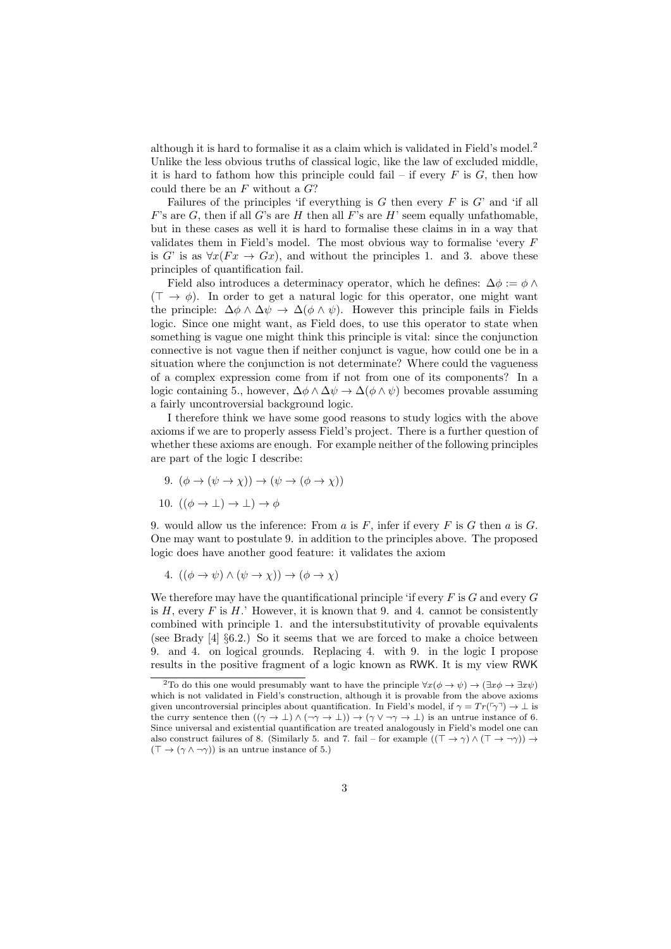although it is hard to formalise it as a claim which is validated in Field's model.<sup>2</sup> Unlike the less obvious truths of classical logic, like the law of excluded middle, it is hard to fathom how this principle could fail – if every  $F$  is  $G$ , then how could there be an  $F$  without a  $G$ ?

Failures of the principles 'if everything is  $G$  then every  $F$  is  $G'$  and 'if all  $F$ 's are  $G$ , then if all  $G$ 's are  $H$  then all  $F$ 's are  $H$ ' seem equally unfathomable, but in these cases as well it is hard to formalise these claims in in a way that validates them in Field's model. The most obvious way to formalise 'every F is G' is as  $\forall x (Fx \rightarrow Gx)$ , and without the principles 1. and 3. above these principles of quantification fail.

Field also introduces a determinacy operator, which he defines:  $\Delta \phi := \phi \wedge \phi$  $(\top \rightarrow \phi)$ . In order to get a natural logic for this operator, one might want the principle:  $\Delta \phi \wedge \Delta \psi \rightarrow \Delta (\phi \wedge \psi)$ . However this principle fails in Fields logic. Since one might want, as Field does, to use this operator to state when something is vague one might think this principle is vital: since the conjunction connective is not vague then if neither conjunct is vague, how could one be in a situation where the conjunction is not determinate? Where could the vagueness of a complex expression come from if not from one of its components? In a logic containing 5., however,  $\Delta \phi \wedge \Delta \psi \rightarrow \Delta (\phi \wedge \psi)$  becomes provable assuming a fairly uncontroversial background logic.

I therefore think we have some good reasons to study logics with the above axioms if we are to properly assess Field's project. There is a further question of whether these axioms are enough. For example neither of the following principles are part of the logic I describe:

- 9.  $(\phi \to (\psi \to \chi)) \to (\psi \to (\phi \to \chi))$
- 10.  $((\phi \rightarrow \bot) \rightarrow \bot) \rightarrow \phi$

9. would allow us the inference: From a is F, infer if every F is G then a is  $G$ . One may want to postulate 9. in addition to the principles above. The proposed logic does have another good feature: it validates the axiom

4.  $((\phi \rightarrow \psi) \land (\psi \rightarrow \chi)) \rightarrow (\phi \rightarrow \chi)$ 

We therefore may have the quantificational principle 'if every  $F$  is  $G$  and every  $G$ is  $H$ , every  $F$  is  $H$ .' However, it is known that 9. and 4. cannot be consistently combined with principle 1. and the intersubstitutivity of provable equivalents (see Brady  $[4]$   $\S6.2$ .) So it seems that we are forced to make a choice between 9. and 4. on logical grounds. Replacing 4. with 9. in the logic I propose results in the positive fragment of a logic known as RWK. It is my view RWK

<sup>&</sup>lt;sup>2</sup>To do this one would presumably want to have the principle  $\forall x(\phi \to \psi) \to (\exists x \phi \to \exists x \psi)$ which is not validated in Field's construction, although it is provable from the above axioms given uncontroversial principles about quantification. In Field's model, if  $\gamma = Tr(\gamma \gamma) \to \bot$  is the curry sentence then  $((\gamma \to \bot) \land (\neg \gamma \to \bot)) \to (\gamma \lor \neg \gamma \to \bot)$  is an untrue instance of 6. Since universal and existential quantification are treated analogously in Field's model one can also construct failures of 8. (Similarly 5. and 7. fail – for example  $((\top \to \gamma) \land (\top \to \neg \gamma)) \to$  $(T \to (\gamma \wedge \neg \gamma))$  is an untrue instance of 5.)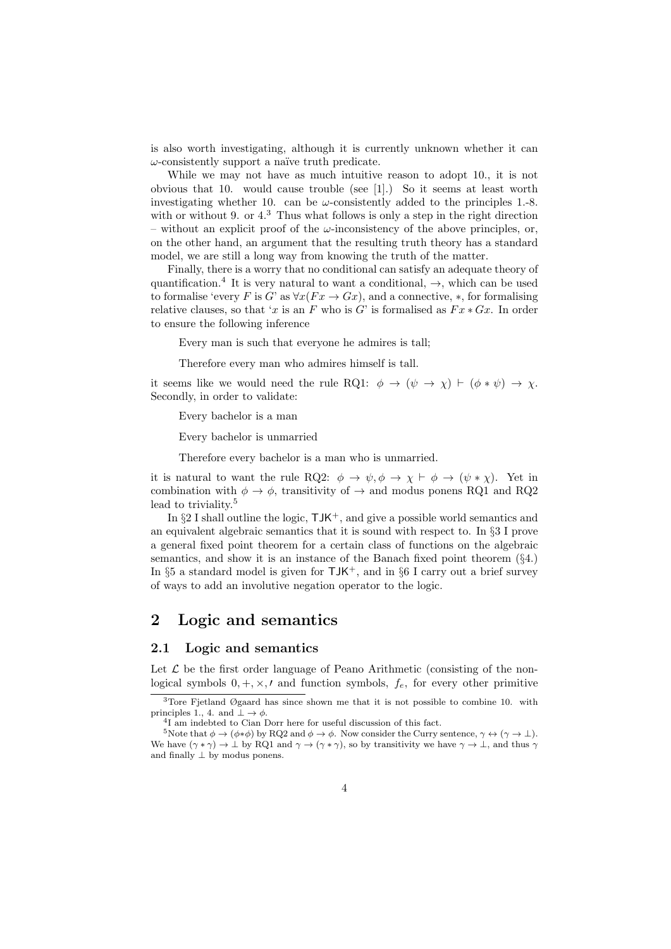is also worth investigating, although it is currently unknown whether it can  $\omega$ -consistently support a naïve truth predicate.

While we may not have as much intuitive reason to adopt 10., it is not obvious that 10. would cause trouble (see [1].) So it seems at least worth investigating whether 10. can be  $\omega$ -consistently added to the principles 1.-8. with or without 9. or  $4.3$  Thus what follows is only a step in the right direction – without an explicit proof of the  $\omega$ -inconsistency of the above principles, or, on the other hand, an argument that the resulting truth theory has a standard model, we are still a long way from knowing the truth of the matter.

Finally, there is a worry that no conditional can satisfy an adequate theory of quantification.<sup>4</sup> It is very natural to want a conditional,  $\rightarrow$ , which can be used to formalise 'every F is G' as  $\forall x (Fx \rightarrow Gx)$ , and a connective, \*, for formalising relative clauses, so that 'x is an F who is G' is formalised as  $Fx*Gx$ . In order to ensure the following inference

Every man is such that everyone he admires is tall;

Therefore every man who admires himself is tall.

it seems like we would need the rule RQ1:  $\phi \rightarrow (\psi \rightarrow \chi) \vdash (\phi * \psi) \rightarrow \chi$ . Secondly, in order to validate:

Every bachelor is a man

Every bachelor is unmarried

Therefore every bachelor is a man who is unmarried.

it is natural to want the rule RQ2:  $\phi \to \psi, \phi \to \chi \vdash \phi \to (\psi * \chi)$ . Yet in combination with  $\phi \to \phi$ , transitivity of  $\to$  and modus ponens RQ1 and RQ2 lead to triviality.<sup>5</sup>

In  $\S2$  I shall outline the logic,  $\mathsf{IJK}^+$ , and give a possible world semantics and an equivalent algebraic semantics that it is sound with respect to. In §3 I prove a general fixed point theorem for a certain class of functions on the algebraic semantics, and show it is an instance of the Banach fixed point theorem (§4.) In §5 a standard model is given for  $TJK^+$ , and in §6 I carry out a brief survey of ways to add an involutive negation operator to the logic.

# 2 Logic and semantics

#### 2.1 Logic and semantics

Let  $\mathcal L$  be the first order language of Peano Arithmetic (consisting of the nonlogical symbols  $0, +, \times, t$  and function symbols,  $f_e$ , for every other primitive

<sup>3</sup>Tore Fjetland Øgaard has since shown me that it is not possible to combine 10. with principles 1., 4. and  $\bot \rightarrow \phi$ .

<sup>4</sup> I am indebted to Cian Dorr here for useful discussion of this fact.

<sup>&</sup>lt;sup>5</sup>Note that  $\phi \to (\phi * \phi)$  by RQ2 and  $\phi \to \phi$ . Now consider the Curry sentence,  $\gamma \leftrightarrow (\gamma \to \bot)$ . We have  $(\gamma * \gamma) \to \bot$  by RQ1 and  $\gamma \to (\gamma * \gamma)$ , so by transitivity we have  $\gamma \to \bot$ , and thus  $\gamma$ and finally  $\perp$  by modus ponens.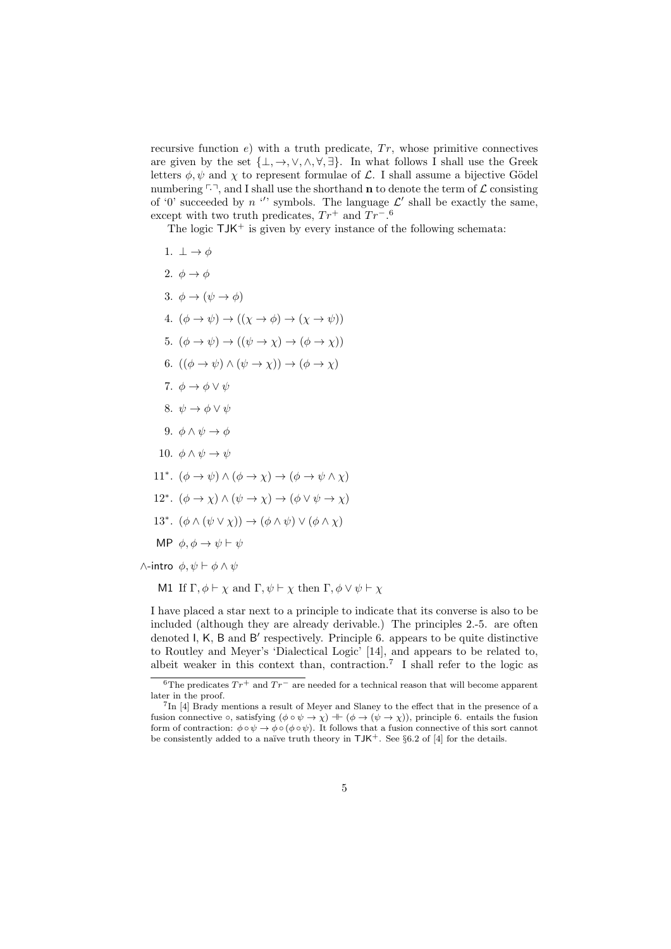recursive function  $e$ ) with a truth predicate,  $Tr$ , whose primitive connectives are given by the set  $\{\bot, \to, \vee, \wedge, \forall, \exists\}$ . In what follows I shall use the Greek letters  $\phi, \psi$  and  $\chi$  to represent formulae of  $\mathcal{L}$ . I shall assume a bijective Gödel numbering  $\ulcorner\urcorner$ , and I shall use the shorthand **n** to denote the term of  $\mathcal L$  consisting of '0' succeeded by  $n'$ ' symbols. The language  $\mathcal{L}'$  shall be exactly the same, except with two truth predicates,  $Tr^+$  and  $Tr^{-0.6}$ 

The logic  $TJK^+$  is given by every instance of the following schemata:

1.  $\perp \rightarrow \phi$ 2.  $\phi \rightarrow \phi$ 3.  $\phi \rightarrow (\psi \rightarrow \phi)$ 4.  $(\phi \to \psi) \to ((\chi \to \phi) \to (\chi \to \psi))$ 5.  $(\phi \to \psi) \to ((\psi \to \chi) \to (\phi \to \chi))$ 6.  $((\phi \rightarrow \psi) \land (\psi \rightarrow \chi)) \rightarrow (\phi \rightarrow \chi)$ 7.  $\phi \rightarrow \phi \vee \psi$ 8.  $\psi \rightarrow \phi \vee \psi$ 9.  $\phi \land \psi \rightarrow \phi$ 10.  $\phi \land \psi \rightarrow \psi$ 11<sup>∗</sup>.  $(\phi \to \psi) \land (\phi \to \chi) \to (\phi \to \psi \land \chi)$ 12<sup>∗</sup>.  $(\phi \to \chi) \land (\psi \to \chi) \to (\phi \lor \psi \to \chi)$ 13<sup>∗</sup>.  $(\phi \land (\psi \lor \chi)) \rightarrow (\phi \land \psi) \lor (\phi \land \chi)$ MP  $\phi, \phi \rightarrow \psi \vdash \psi$  $∧$ -intro  $\phi, \psi \vdash \phi \land \psi$ 

M1 If  $\Gamma$ ,  $\phi \vdash \chi$  and  $\Gamma$ ,  $\psi \vdash \chi$  then  $\Gamma$ ,  $\phi \lor \psi \vdash \chi$ 

I have placed a star next to a principle to indicate that its converse is also to be included (although they are already derivable.) The principles 2.-5. are often denoted I, K, B and B' respectively. Principle 6. appears to be quite distinctive to Routley and Meyer's 'Dialectical Logic' [14], and appears to be related to, albeit weaker in this context than, contraction.<sup>7</sup> I shall refer to the logic as

 $\overline{6}$ The predicates  $Tr^+$  and  $Tr^-$  are needed for a technical reason that will become apparent later in the proof.

<sup>&</sup>lt;sup>7</sup>In [4] Brady mentions a result of Meyer and Slaney to the effect that in the presence of a fusion connective  $\circ$ , satisfying  $(\phi \circ \psi \to \chi) \dashv (\phi \to (\psi \to \chi))$ , principle 6. entails the fusion form of contraction:  $\phi \circ \psi \to \phi \circ (\phi \circ \psi)$ . It follows that a fusion connective of this sort cannot be consistently added to a naïve truth theory in  $TM^+$ . See §6.2 of [4] for the details.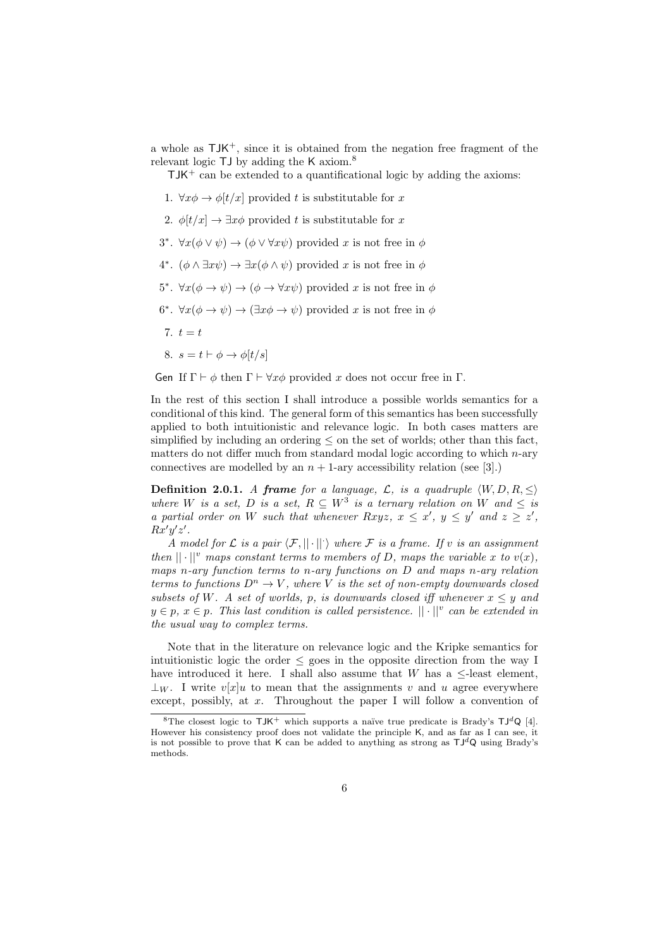a whole as  $\mathsf{TIK}^+$ , since it is obtained from the negation free fragment of the relevant logic  $TJ$  by adding the K axiom.<sup>8</sup>

 $TJK^+$  can be extended to a quantificational logic by adding the axioms:

- 1.  $\forall x \phi \rightarrow \phi[t/x]$  provided t is substitutable for x
- 2.  $\phi[t/x] \rightarrow \exists x \phi$  provided t is substitutable for x
- 3<sup>\*</sup>.  $\forall x(\phi \lor \psi) \rightarrow (\phi \lor \forall x \psi)$  provided x is not free in  $\phi$
- 4<sup>\*</sup>.  $(\phi \land \exists x \psi) \rightarrow \exists x (\phi \land \psi)$  provided x is not free in  $\phi$
- 5<sup>\*</sup>.  $\forall x(\phi \rightarrow \psi) \rightarrow (\phi \rightarrow \forall x \psi)$  provided x is not free in  $\phi$
- 6<sup>\*</sup>.  $\forall x(\phi \rightarrow \psi) \rightarrow (\exists x\phi \rightarrow \psi)$  provided x is not free in  $\phi$
- 7.  $t = t$
- 8.  $s = t \vdash \phi \rightarrow \phi[t/s]$

Gen If  $\Gamma \vdash \phi$  then  $\Gamma \vdash \forall x \phi$  provided x does not occur free in  $\Gamma$ .

In the rest of this section I shall introduce a possible worlds semantics for a conditional of this kind. The general form of this semantics has been successfully applied to both intuitionistic and relevance logic. In both cases matters are simplified by including an ordering  $\leq$  on the set of worlds; other than this fact, matters do not differ much from standard modal logic according to which  $n$ -ary connectives are modelled by an  $n + 1$ -ary accessibility relation (see [3].)

**Definition 2.0.1.** A frame for a language, L, is a quadruple  $\langle W, D, R, \leq \rangle$ where W is a set, D is a set,  $R \subseteq W^3$  is a ternary relation on W and  $\leq$  is a partial order on W such that whenever Rxyz,  $x \leq x'$ ,  $y \leq y'$  and  $z \geq z'$ ,  $Rx'y'z'.$ 

A model for L is a pair  $\langle \mathcal{F}, || \cdot || \cdot \rangle$  where F is a frame. If v is an assignment then  $|| \cdot ||^v$  maps constant terms to members of D, maps the variable x to  $v(x)$ , maps n-ary function terms to n-ary functions on D and maps n-ary relation terms to functions  $D^n \to V$ , where V is the set of non-empty downwards closed subsets of W. A set of worlds, p, is downwards closed iff whenever  $x \leq y$  and  $y \in p$ ,  $x \in p$ . This last condition is called persistence.  $|| \cdot ||^v$  can be extended in the usual way to complex terms.

Note that in the literature on relevance logic and the Kripke semantics for intuitionistic logic the order  $\leq$  goes in the opposite direction from the way I have introduced it here. I shall also assume that  $W$  has a  $\leq$ -least element,  $\perp_W$ . I write  $v[x]u$  to mean that the assignments v and u agree everywhere except, possibly, at  $x$ . Throughout the paper I will follow a convention of

<sup>&</sup>lt;sup>8</sup>The closest logic to  $TM^+$  which supports a naïve true predicate is Brady's  $TJ^dQ$  [4]. However his consistency proof does not validate the principle K, and as far as I can see, it is not possible to prove that K can be added to anything as strong as  $TJ^dQ$  using Brady's methods.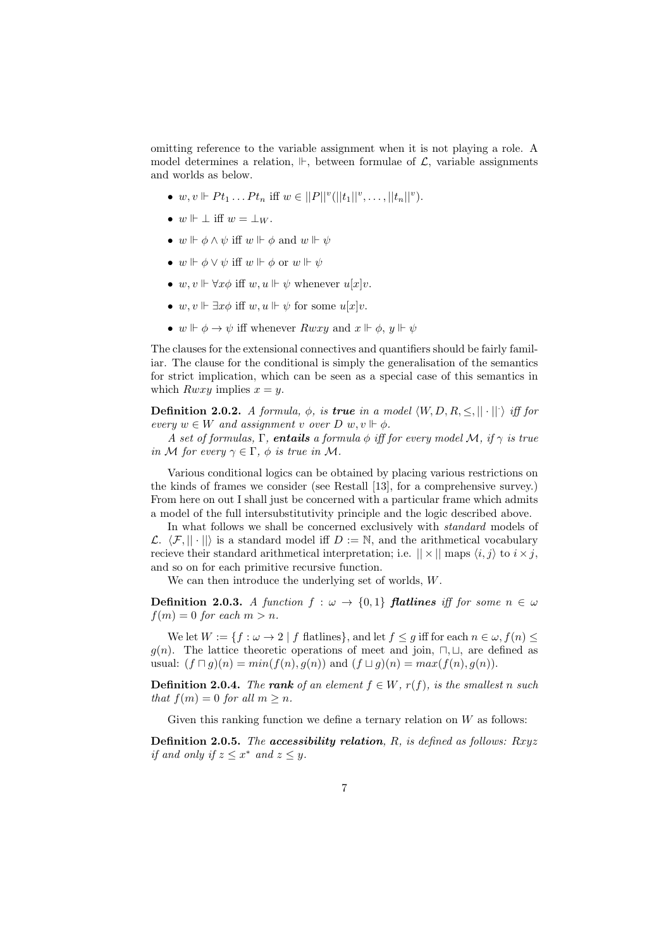omitting reference to the variable assignment when it is not playing a role. A model determines a relation,  $\Vdash$ , between formulae of  $\mathcal{L}$ , variable assignments and worlds as below.

- $w, v \Vdash Pt_1 \dots Pt_n$  iff  $w \in ||P||^v(||t_1||^v, \dots, ||t_n||^v)$ .
- $w \Vdash \bot$  iff  $w = \bot_{W}$ .
- $w \Vdash \phi \land \psi$  iff  $w \Vdash \phi$  and  $w \Vdash \psi$
- $w \Vdash \phi \vee \psi$  iff  $w \Vdash \phi$  or  $w \Vdash \psi$
- $w, v \Vdash \forall x \phi$  iff  $w, u \Vdash \psi$  whenever  $u[x]v$ .
- w,  $v \Vdash \exists x \phi$  iff w,  $u \Vdash \psi$  for some  $u[x]v$ .
- $w \Vdash \phi \rightarrow \psi$  iff whenever  $Rwxy$  and  $x \Vdash \phi$ ,  $y \Vdash \psi$

The clauses for the extensional connectives and quantifiers should be fairly familiar. The clause for the conditional is simply the generalisation of the semantics for strict implication, which can be seen as a special case of this semantics in which  $Rwxy$  implies  $x = y$ .

**Definition 2.0.2.** A formula,  $\phi$ , is **true** in a model  $\langle W, D, R, \leq, || \cdot || \cdot \rangle$  iff for every  $w \in W$  and assignment v over  $D \ w, v \Vdash \phi$ .

A set of formulas, Γ, entails a formula  $\phi$  iff for every model M, if  $\gamma$  is true in M for every  $\gamma \in \Gamma$ ,  $\phi$  is true in M.

Various conditional logics can be obtained by placing various restrictions on the kinds of frames we consider (see Restall [13], for a comprehensive survey.) From here on out I shall just be concerned with a particular frame which admits a model of the full intersubstitutivity principle and the logic described above.

In what follows we shall be concerned exclusively with standard models of  $\mathcal{L}$ .  $\langle \mathcal{F}, || \cdot || \rangle$  is a standard model iff  $D := \mathbb{N}$ , and the arithmetical vocabulary recieve their standard arithmetical interpretation; i.e.  $|| \times ||$  maps  $\langle i, j \rangle$  to  $i \times j$ , and so on for each primitive recursive function.

We can then introduce the underlying set of worlds, W.

**Definition 2.0.3.** A function  $f : \omega \to \{0,1\}$  flatlines iff for some  $n \in \omega$  $f(m) = 0$  for each  $m > n$ .

We let  $W := \{f : \omega \to 2 \mid f \text{ flatlines}\},\$  and let  $f \leq g$  iff for each  $n \in \omega, f(n) \leq$  $g(n)$ . The lattice theoretic operations of meet and join,  $\sqcap, \sqcup$ , are defined as usual:  $(f \sqcap g)(n) = min(f(n), g(n))$  and  $(f \sqcup g)(n) = max(f(n), g(n))$ .

**Definition 2.0.4.** The rank of an element  $f \in W$ ,  $r(f)$ , is the smallest n such that  $f(m) = 0$  for all  $m > n$ .

Given this ranking function we define a ternary relation on  $W$  as follows:

**Definition 2.0.5.** The accessibility relation, R, is defined as follows:  $Rxyz$ if and only if  $z \leq x^*$  and  $z \leq y$ .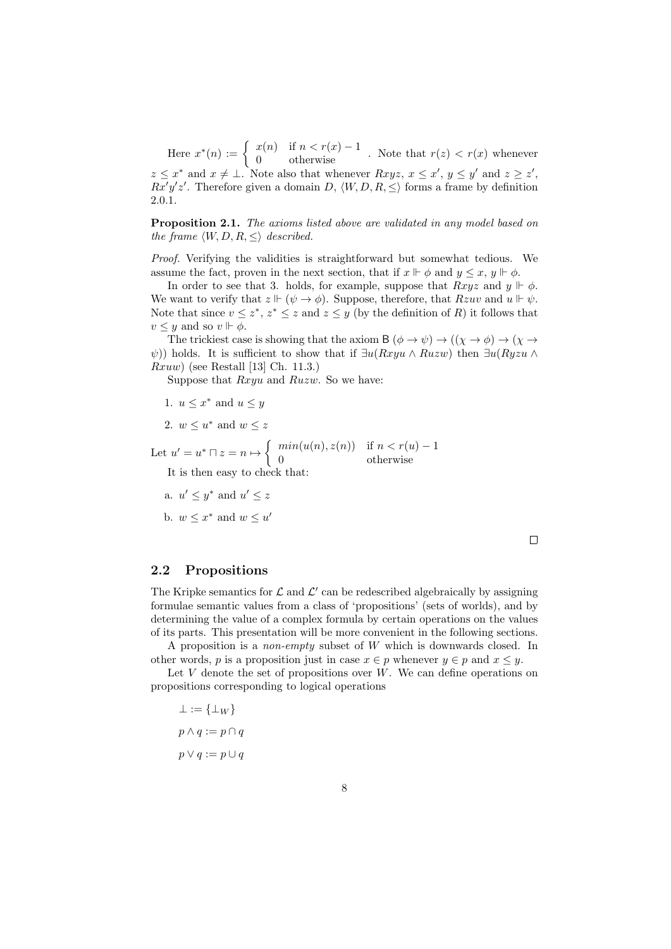Here  $x^*(n) := \begin{cases} x(n) & \text{if } n < r(x) - 1 \\ 0 & \text{otherwise} \end{cases}$ . Note that  $r(z) < r(x)$  whenever  $z \leq x^*$  and  $x \neq \bot$ . Note also that whenever  $Rxyz, x \leq x', y \leq y'$  and  $z \geq z'$ ,  $Rx'y'z'$ . Therefore given a domain D,  $\langle W, D, R, \leq \rangle$  forms a frame by definition 2.0.1.

Proposition 2.1. The axioms listed above are validated in any model based on the frame  $\langle W, D, R, \leq \rangle$  described.

Proof. Verifying the validities is straightforward but somewhat tedious. We assume the fact, proven in the next section, that if  $x \Vdash \phi$  and  $y \leq x, y \Vdash \phi$ .

In order to see that 3. holds, for example, suppose that  $Rxyz$  and  $y \Vdash \phi$ . We want to verify that  $z \Vdash (\psi \to \phi)$ . Suppose, therefore, that  $Rzuv$  and  $u \Vdash \psi$ . Note that since  $v \leq z^*$ ,  $z^* \leq z$  and  $z \leq y$  (by the definition of R) it follows that  $v \leq y$  and so  $v \Vdash \phi$ .

The trickiest case is showing that the axiom B  $(\phi \to \psi) \to ((\chi \to \phi) \to (\chi \to \phi))$ ψ)) holds. It is sufficient to show that if  $\exists u(Rxyu \wedge Ruzw)$  then  $\exists u(Ryzu \wedge Ruzw)$  $Rxuw$  (see Restall [13] Ch. 11.3.)

Suppose that Rxyu and Ruzw. So we have:

1. 
$$
u \leq x^*
$$
 and  $u \leq y$ 

2. 
$$
w \leq u^*
$$
 and  $w \leq z$ 

Let  $u' = u^* \sqcap z = n \mapsto \begin{cases} \min(u(n), z(n)) & \text{if } n < r(u) - 1 \\ 0 & \text{otherwise} \end{cases}$ 0 otherwise

It is then easy to check that:

a.  $u' \leq y^*$  and  $u' \leq z$ 

b.  $w \leq x^*$  and  $w \leq u'$ 

 $\Box$ 

#### 2.2 Propositions

The Kripke semantics for  $\mathcal L$  and  $\mathcal L'$  can be redescribed algebraically by assigning formulae semantic values from a class of 'propositions' (sets of worlds), and by determining the value of a complex formula by certain operations on the values of its parts. This presentation will be more convenient in the following sections.

A proposition is a non-empty subset of W which is downwards closed. In other words, p is a proposition just in case  $x \in p$  whenever  $y \in p$  and  $x \leq y$ .

Let V denote the set of propositions over  $W$ . We can define operations on propositions corresponding to logical operations

$$
\bot := \{\bot_W\}
$$

$$
p \land q := p \cap q
$$

$$
p \lor q := p \cup q
$$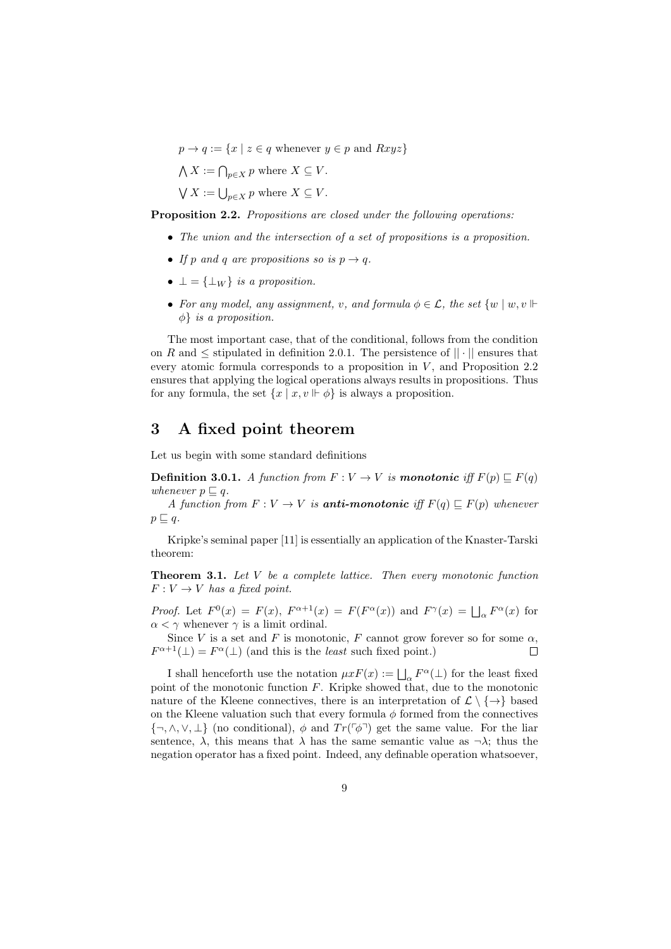$p \rightarrow q := \{x \mid z \in q \text{ whenever } y \in p \text{ and } Rxyz\}$  $\bigwedge X := \bigcap_{p \in X} p$  where  $X \subseteq V$ .

 $\bigvee X := \bigcup_{p \in X} p$  where  $X \subseteq V$ .

Proposition 2.2. Propositions are closed under the following operations:

- The union and the intersection of a set of propositions is a proposition.
- If p and q are propositions so is  $p \rightarrow q$ .
- $\perp = {\perp_W}$  is a proposition.
- For any model, any assignment, v, and formula  $\phi \in \mathcal{L}$ , the set  $\{w \mid w, v \Vdash$  $\phi$  *is a proposition.*

The most important case, that of the conditional, follows from the condition on R and  $\leq$  stipulated in definition 2.0.1. The persistence of  $||\cdot||$  ensures that every atomic formula corresponds to a proposition in  $V$ , and Proposition 2.2 ensures that applying the logical operations always results in propositions. Thus for any formula, the set  $\{x \mid x, v \Vdash \phi\}$  is always a proposition.

### 3 A fixed point theorem

Let us begin with some standard definitions

**Definition 3.0.1.** A function from  $F: V \to V$  is **monotonic** iff  $F(p) \sqsubseteq F(q)$ whenever  $p \sqsubset q$ .

A function from  $F: V \to V$  is **anti-monotonic** iff  $F(q) \sqsubseteq F(p)$  whenever  $p \sqsubseteq q$ .

Kripke's seminal paper [11] is essentially an application of the Knaster-Tarski theorem:

**Theorem 3.1.** Let  $V$  be a complete lattice. Then every monotonic function  $F: V \to V$  has a fixed point.

*Proof.* Let  $F^0(x) = F(x)$ ,  $F^{\alpha+1}(x) = F(F^{\alpha}(x))$  and  $F^{\gamma}(x) = \bigsqcup_{\alpha} F^{\alpha}(x)$  for  $\alpha < \gamma$  whenever  $\gamma$  is a limit ordinal.

Since V is a set and F is monotonic, F cannot grow forever so for some  $\alpha$ .  $F^{\alpha+1}(\perp) = F^{\alpha}(\perp)$  (and this is the *least* such fixed point.)  $\Box$ 

I shall henceforth use the notation  $\mu x F(x) := \bigsqcup_{\alpha} F^{\alpha}(\bot)$  for the least fixed point of the monotonic function F. Kripke showed that, due to the monotonic nature of the Kleene connectives, there is an interpretation of  $\mathcal{L} \setminus \{\rightarrow\}$  based on the Kleene valuation such that every formula  $\phi$  formed from the connectives  $\{\neg, \wedge, \vee, \perp\}$  (no conditional),  $\phi$  and  $Tr(\ulcorner \phi \urcorner)$  get the same value. For the liar sentence,  $\lambda$ , this means that  $\lambda$  has the same semantic value as  $\neg \lambda$ ; thus the negation operator has a fixed point. Indeed, any definable operation whatsoever,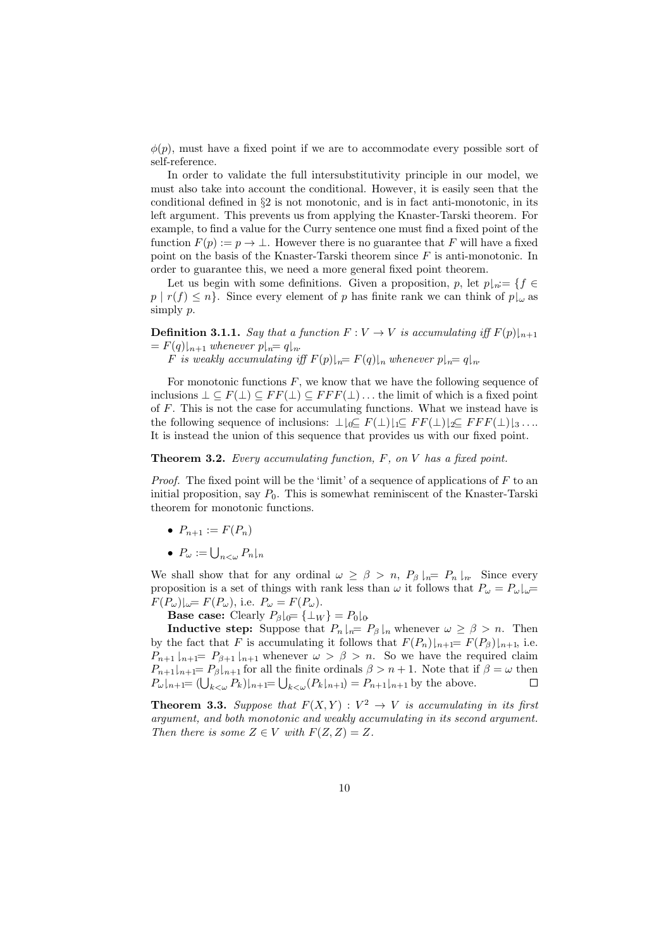$\phi(p)$ , must have a fixed point if we are to accommodate every possible sort of self-reference.

In order to validate the full intersubstitutivity principle in our model, we must also take into account the conditional. However, it is easily seen that the conditional defined in §2 is not monotonic, and is in fact anti-monotonic, in its left argument. This prevents us from applying the Knaster-Tarski theorem. For example, to find a value for the Curry sentence one must find a fixed point of the function  $F(p) := p \to \perp$ . However there is no guarantee that F will have a fixed point on the basis of the Knaster-Tarski theorem since F is anti-monotonic. In order to guarantee this, we need a more general fixed point theorem.

Let us begin with some definitions. Given a proposition, p, let  $p_{n} = \{f \in$  $p | r(f) \leq n$ . Since every element of p has finite rank we can think of  $p \downarrow \omega$  as simply p.

**Definition 3.1.1.** Say that a function  $F: V \to V$  is accumulating iff  $F(p)|_{n+1}$  $= F(q)_{n+1}$  whenever  $p_{n}= q_{n}$ .

F is weakly accumulating iff  $F(p)|_{n}= F(q)|_{n}$  whenever  $p|_{n}= q|_{n}$ .

For monotonic functions  $F$ , we know that we have the following sequence of inclusions  $\bot \subseteq F(\bot) \subseteq FF(\bot) \subseteq FF(\bot) \dots$  the limit of which is a fixed point of F. This is not the case for accumulating functions. What we instead have is the following sequence of inclusions:  $\perp\downarrow_0\subseteq F(\perp)\downarrow_1\subseteq FF(\perp)\downarrow_2\subseteq FF(F(\perp)\downarrow_3\ldots$ It is instead the union of this sequence that provides us with our fixed point.

**Theorem 3.2.** Every accumulating function,  $F$ , on  $V$  has a fixed point.

*Proof.* The fixed point will be the 'limit' of a sequence of applications of  $F$  to an initial proposition, say  $P_0$ . This is somewhat reminiscent of the Knaster-Tarski theorem for monotonic functions.

- $P_{n+1} := F(P_n)$
- $P_{\omega} := \bigcup_{n < \omega} P_n \vert_n$

We shall show that for any ordinal  $\omega \geq \beta > n$ ,  $P_{\beta}|_{n} = P_{n}|_{n}$ . Since every proposition is a set of things with rank less than  $\omega$  it follows that  $P_{\omega} = P_{\omega}|_{\omega} =$  $F(P_\omega)|_{\omega} = F(P_\omega)$ , i.e.  $P_\omega = F(P_\omega)$ .

**Base case:** Clearly  $P_\beta|_{0} = {\perp_W} = P_0|_{0}$ .

**Inductive step:** Suppose that  $P_n \rvert_n = P_\beta \rvert_n$  whenever  $\omega \geq \beta > n$ . Then by the fact that F is accumulating it follows that  $F(P_n)|_{n+1} = F(P_\beta)|_{n+1}$ , i.e.  $P_{n+1} \mid_{n+1} = P_{\beta+1} \mid_{n+1}$  whenever  $\omega > \beta > n$ . So we have the required claim  $P_{n+1}|_{n+1}= P_{\beta}|_{n+1}$  for all the finite ordinals  $\beta > n+1$ . Note that if  $\beta = \omega$  then  $P_{\omega}|_{n+1} = (\bigcup_{k < \omega} P_k)|_{n+1} = \bigcup_{k < \omega} (P_k|_{n+1}) = P_{n+1}|_{n+1}$  by the above.  $\Box$ 

**Theorem 3.3.** Suppose that  $F(X,Y) : V^2 \to V$  is accumulating in its first argument, and both monotonic and weakly accumulating in its second argument. Then there is some  $Z \in V$  with  $F(Z, Z) = Z$ .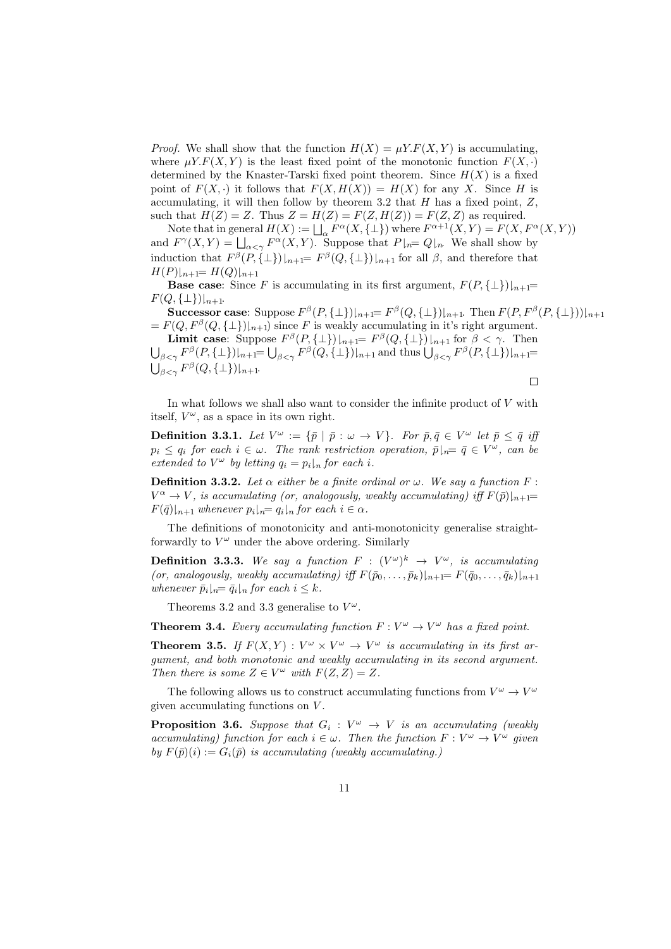*Proof.* We shall show that the function  $H(X) = \mu Y.F(X, Y)$  is accumulating, where  $\mu Y.F(X, Y)$  is the least fixed point of the monotonic function  $F(X, \cdot)$ determined by the Knaster-Tarski fixed point theorem. Since  $H(X)$  is a fixed point of  $F(X, \cdot)$  it follows that  $F(X, H(X)) = H(X)$  for any X. Since H is accumulating, it will then follow by theorem 3.2 that  $H$  has a fixed point,  $Z$ , such that  $H(Z) = Z$ . Thus  $Z = H(Z) = F(Z, H(Z)) = F(Z, Z)$  as required.

Note that in general  $H(X) := \bigsqcup_{\alpha} F^{\alpha}(X, \{\bot\})$  where  $F^{\alpha+1}(X, Y) = F(X, F^{\alpha}(X, Y))$ and  $F^{\gamma}(X,Y) = \bigsqcup_{\alpha < \gamma} F^{\alpha}(X,Y)$ . Suppose that  $P|_{n} = Q|_{n}$ . We shall show by induction that  $F^{\beta}(P,\{\perp\})|_{n+1} = F^{\beta}(Q,\{\perp\})|_{n+1}$  for all  $\beta$ , and therefore that  $H(P)|_{n+1} = H(Q)|_{n+1}$ 

**Base case:** Since F is accumulating in its first argument,  $F(P, \{\perp\})|_{n+1}$ =  $F(Q, \{\perp\})|_{n+1}.$ 

Successor case: Suppose  $F^{\beta}(P,\{\perp\})|_{n+1} = F^{\beta}(Q,\{\perp\})|_{n+1}$ . Then  $F(P,F^{\beta}(P,\{\perp\}))|_{n+1}$  $= F(Q, F^{\beta}(Q, {\{\perp\}})|_{n+1})$  since F is weakly accumulating in it's right argument.

**Limit case:** Suppose  $F^{\beta}(P,\{\perp\})|_{n+1} = F^{\beta}(Q,\{\perp\})|_{n+1}$  for  $\beta < \gamma$ . Then  $\bigcup_{\beta<\gamma}F^{\beta}(P,\{\perp\})|_{n+1}=\bigcup_{\beta<\gamma}F^{\beta}(Q,\{\perp\})|_{n+1}$  and thus  $\bigcup_{\beta<\gamma}F^{\beta}(P,\{\perp\})|_{n+1}=$  $\bigcup_{\beta<\gamma}F^\beta(Q,\{\bot\})|_{n+1}.$ 

 $\Box$ 

In what follows we shall also want to consider the infinite product of  $V$  with itself,  $V^{\omega}$ , as a space in its own right.

**Definition 3.3.1.** Let  $V^{\omega} := \{\bar{p} \mid \bar{p} : \omega \to V\}$ . For  $\bar{p}, \bar{q} \in V^{\omega}$  let  $\bar{p} \leq \bar{q}$  if  $p_i \leq q_i$  for each  $i \in \omega$ . The rank restriction operation,  $\bar{p}|_{n} = \bar{q} \in V^{\omega}$ , can be extended to  $V^{\omega}$  by letting  $q_i = p_i\vert_n$  for each i.

**Definition 3.3.2.** Let  $\alpha$  either be a finite ordinal or  $\omega$ . We say a function F:  $V^{\alpha} \to V$ , is accumulating (or, analogously, weakly accumulating) iff  $F(\bar{p})|_{n+1} =$  $F(\bar{q})|_{n+1}$  whenever  $p_i|_{n}= q_i|_n$  for each  $i \in \alpha$ .

The definitions of monotonicity and anti-monotonicity generalise straightforwardly to  $V^{\omega}$  under the above ordering. Similarly

**Definition 3.3.3.** We say a function  $F : (V^{\omega})^k \rightarrow V^{\omega}$ , is accumulating (or, analogously, weakly accumulating) iff  $F(\bar{p}_0, \ldots, \bar{p}_k)|_{n+1} = F(\bar{q}_0, \ldots, \bar{q}_k)|_{n+1}$ whenever  $\bar{p}_i|_{n}=\bar{q}_i|_{n}$  for each  $i \leq k$ .

Theorems 3.2 and 3.3 generalise to  $V^{\omega}$ .

**Theorem 3.4.** Every accumulating function  $F: V^{\omega} \to V^{\omega}$  has a fixed point.

**Theorem 3.5.** If  $F(X,Y) : V^{\omega} \times V^{\omega} \to V^{\omega}$  is accumulating in its first argument, and both monotonic and weakly accumulating in its second argument. Then there is some  $Z \in V^{\omega}$  with  $F(Z, Z) = Z$ .

The following allows us to construct accumulating functions from  $V^{\omega} \to V^{\omega}$ given accumulating functions on V .

**Proposition 3.6.** Suppose that  $G_i : V^{\omega} \rightarrow V$  is an accumulating (weakly accumulating) function for each  $i \in \omega$ . Then the function  $F: V^{\omega} \to V^{\omega}$  given by  $F(\bar{p})(i) := G_i(\bar{p})$  is accumulating (weakly accumulating.)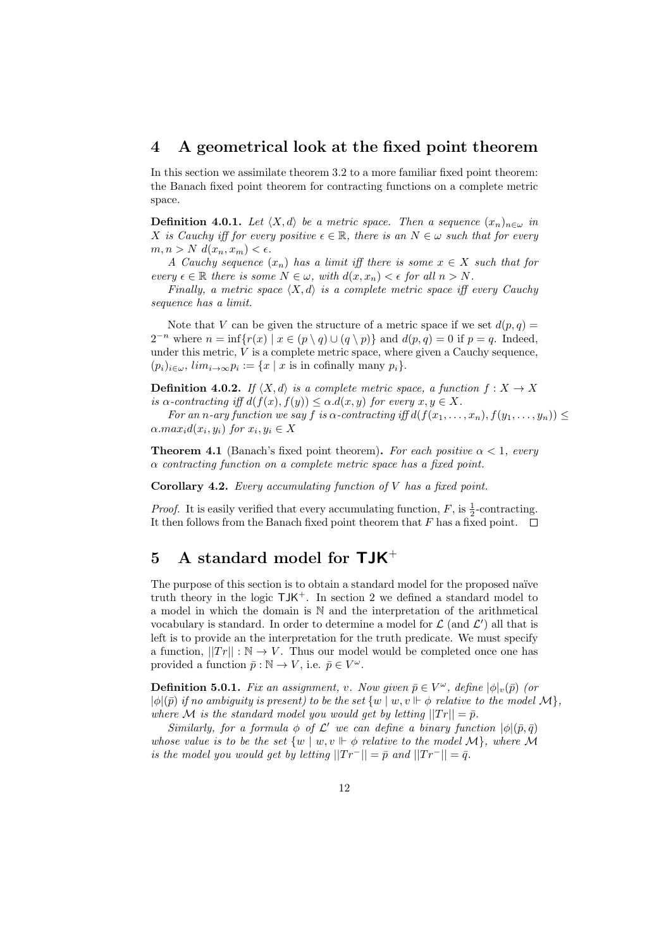#### 4 A geometrical look at the fixed point theorem

In this section we assimilate theorem 3.2 to a more familiar fixed point theorem: the Banach fixed point theorem for contracting functions on a complete metric space.

**Definition 4.0.1.** Let  $\langle X, d \rangle$  be a metric space. Then a sequence  $(x_n)_{n \in \omega}$  in X is Cauchy iff for every positive  $\epsilon \in \mathbb{R}$ , there is an  $N \in \omega$  such that for every  $m, n > N$   $d(x_n, x_m) < \epsilon$ .

A Cauchy sequence  $(x_n)$  has a limit iff there is some  $x \in X$  such that for every  $\epsilon \in \mathbb{R}$  there is some  $N \in \omega$ , with  $d(x, x_n) < \epsilon$  for all  $n > N$ .

Finally, a metric space  $\langle X, d \rangle$  is a complete metric space iff every Cauchy sequence has a limit.

Note that V can be given the structure of a metric space if we set  $d(p, q) =$  $2^{-n}$  where  $n = \inf \{ r(x) \mid x \in (p \setminus q) \cup (q \setminus p) \}$  and  $d(p, q) = 0$  if  $p = q$ . Indeed, under this metric,  $V$  is a complete metric space, where given a Cauchy sequence,  $(p_i)_{i \in \omega}, \, \lim_{i \to \infty} p_i := \{x \mid x \text{ is in cofinally many } p_i\}.$ 

**Definition 4.0.2.** If  $\langle X, d \rangle$  is a complete metric space, a function  $f : X \to X$ is  $\alpha$ -contracting iff  $d(f(x), f(y)) \leq \alpha.d(x, y)$  for every  $x, y \in X$ .

For an n-ary function we say f is  $\alpha$ -contracting iff  $d(f(x_1, \ldots, x_n), f(y_1, \ldots, y_n))$   $\leq$  $\alpha.max_i d(x_i, y_i)$  for  $x_i, y_i \in X$ 

**Theorem 4.1** (Banach's fixed point theorem). For each positive  $\alpha < 1$ , every  $\alpha$  contracting function on a complete metric space has a fixed point.

**Corollary 4.2.** Every accumulating function of  $V$  has a fixed point.

*Proof.* It is easily verified that every accumulating function,  $F$ , is  $\frac{1}{2}$ -contracting. It then follows from the Banach fixed point theorem that F has a fixed point.  $\Box$ 

# 5 A standard model for  $\mathsf{T} \mathsf{J} \mathsf{K}^+$

The purpose of this section is to obtain a standard model for the proposed naïve truth theory in the logic  $TJK^+$ . In section 2 we defined a standard model to a model in which the domain is N and the interpretation of the arithmetical vocabulary is standard. In order to determine a model for  $\mathcal{L}$  (and  $\mathcal{L}'$ ) all that is left is to provide an the interpretation for the truth predicate. We must specify a function,  $||Tr|| : \mathbb{N} \to V$ . Thus our model would be completed once one has provided a function  $\bar{p} : \mathbb{N} \to V$ , i.e.  $\bar{p} \in V^{\omega}$ .

**Definition 5.0.1.** Fix an assignment, v. Now given  $\bar{p} \in V^{\omega}$ , define  $|\phi|_v(\bar{p})$  (or  $|\phi|(\bar{p})$  if no ambiguity is present) to be the set  $\{w \mid w, v \Vdash \phi \text{ relative to the model } \mathcal{M}\},$ where M is the standard model you would get by letting  $||Tr|| = \bar{p}$ .

Similarly, for a formula  $\phi$  of  $\mathcal{L}'$  we can define a binary function  $|\phi|(\bar{p}, \bar{q})$ whose value is to be the set  $\{w \mid w, v \Vdash \phi \text{ relative to the model } \mathcal{M} \}$ , where M is the model you would get by letting  $||Tr^-|| = \bar{p}$  and  $||Tr^-|| = \bar{q}$ .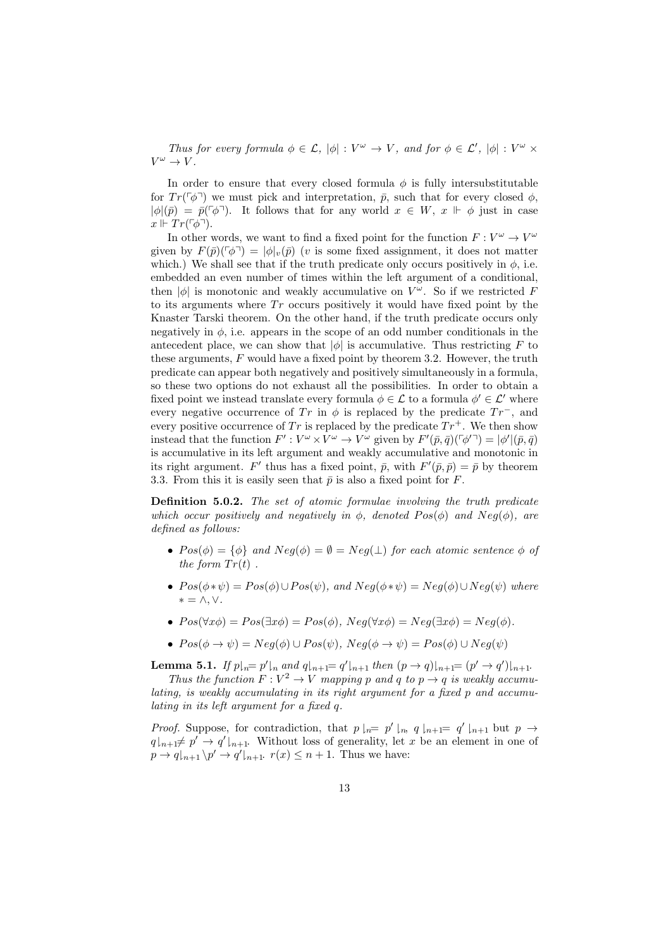Thus for every formula  $\phi \in \mathcal{L}$ ,  $|\phi| : V^{\omega} \to V$ , and for  $\phi \in \mathcal{L}'$ ,  $|\phi| : V^{\omega} \times V$  $V^{\omega} \to V.$ 

In order to ensure that every closed formula  $\phi$  is fully intersubstitutable for  $Tr(\ulcorner\phi\urcorner)$  we must pick and interpretation,  $\bar{p}$ , such that for every closed  $\phi$ ,  $|\phi|(\bar{p}) = \bar{p}(\bar{\phi})$ . It follows that for any world  $x \in W$ ,  $x \Vdash \phi$  just in case  $x \Vdash Tr(\ulcorner \phi \urcorner).$ 

In other words, we want to find a fixed point for the function  $F: V^{\omega} \to V^{\omega}$ given by  $F(\bar{p})(\lceil \phi \rceil) = |\phi|_v(\bar{p})$  (v is some fixed assignment, it does not matter which.) We shall see that if the truth predicate only occurs positively in  $\phi$ , i.e. embedded an even number of times within the left argument of a conditional, then  $|\phi|$  is monotonic and weakly accumulative on  $V^{\omega}$ . So if we restricted F to its arguments where  $Tr$  occurs positively it would have fixed point by the Knaster Tarski theorem. On the other hand, if the truth predicate occurs only negatively in  $\phi$ , i.e. appears in the scope of an odd number conditionals in the antecedent place, we can show that  $|\phi|$  is accumulative. Thus restricting F to these arguments, F would have a fixed point by theorem 3.2. However, the truth predicate can appear both negatively and positively simultaneously in a formula, so these two options do not exhaust all the possibilities. In order to obtain a fixed point we instead translate every formula  $\phi \in \mathcal{L}$  to a formula  $\phi' \in \mathcal{L}'$  where every negative occurrence of Tr in  $\phi$  is replaced by the predicate  $Tr^-$ , and every positive occurrence of Tr is replaced by the predicate  $Tr^+$ . We then show instead that the function  $F': V^{\omega} \times V^{\omega} \to V^{\omega}$  given by  $F'(\bar{p}, \bar{q})(\lceil \phi' \rceil) = |\phi'||(\bar{p}, \bar{q})$ is accumulative in its left argument and weakly accumulative and monotonic in its right argument. F' thus has a fixed point,  $\bar{p}$ , with  $F'(\bar{p}, \bar{p}) = \bar{p}$  by theorem 3.3. From this it is easily seen that  $\bar{p}$  is also a fixed point for F.

Definition 5.0.2. The set of atomic formulae involving the truth predicate which occur positively and negatively in  $\phi$ , denoted  $Pos(\phi)$  and  $Neq(\phi)$ , are defined as follows:

- $Pos(\phi) = {\phi}$  and  $Neg(\phi) = \emptyset = Neg(\bot)$  for each atomic sentence  $\phi$  of the form  $Tr(t)$ .
- $Pos(\phi * \psi) = Pos(\phi) \cup Pos(\psi)$ , and  $Neg(\phi * \psi) = Neg(\phi) \cup Neg(\psi)$  where ∗ = ∧, ∨.
- $Pos(\forall x \phi) = Pos(\exists x \phi) = Pos(\phi)$ ,  $Neg(\forall x \phi) = Neg(\exists x \phi) = Neg(\phi)$ .
- $Pos(\phi \rightarrow \psi) = Neg(\phi) \cup Pos(\psi)$ ,  $Neg(\phi \rightarrow \psi) = Pos(\phi) \cup Neg(\psi)$

**Lemma 5.1.** If  $p|_{n} = p'|_{n}$  and  $q|_{n+1} = q'|_{n+1}$  then  $(p \to q)|_{n+1} = (p' \to q')|_{n+1}$ . Thus the function  $F: V^2 \to V$  mapping p and q to  $p \to q$  is weakly accumulating, is weakly accumulating in its right argument for a fixed p and accumulating in its left argument for a fixed q.

*Proof.* Suppose, for contradiction, that  $p \mid_n = p' \mid_n, q \mid_{n+1} = q' \mid_{n+1}$  but  $p \to$  $q|_{n+1}\neq p' \rightarrow q'|_{n+1}$ . Without loss of generality, let x be an element in one of  $p \to q|_{n+1} \backslash p' \to q'|_{n+1}$ .  $r(x) \leq n+1$ . Thus we have: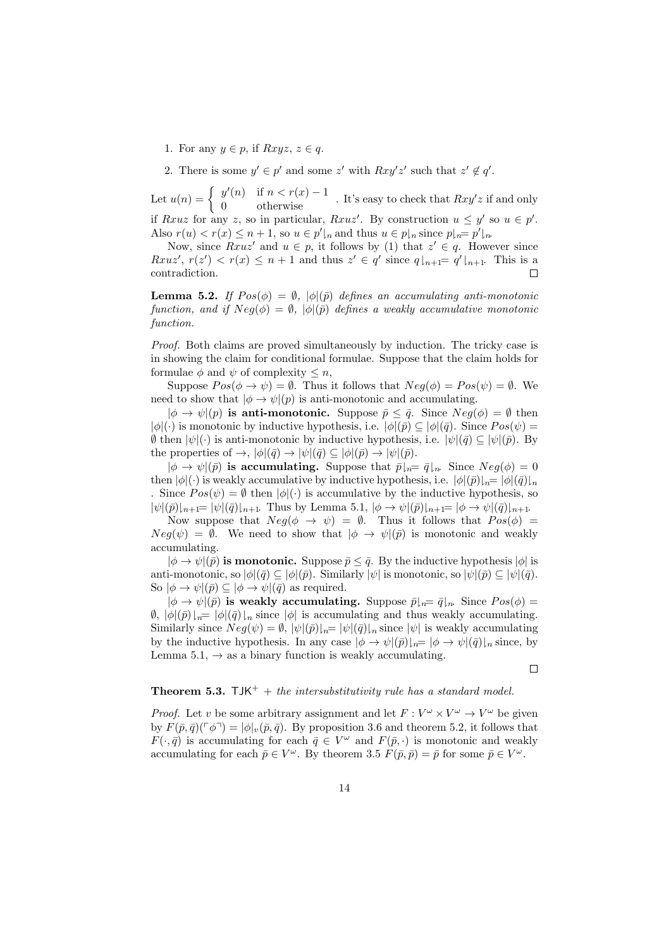1. For any  $y \in p$ , if  $Rxyz, z \in q$ .

2. There is some  $y' \in p'$  and some z' with  $Rxy'z'$  such that  $z' \notin q'$ .

Let  $u(n) = \begin{cases} y'(n) & \text{if } n < r(x) - 1 \\ 0 & \text{otherwise} \end{cases}$ . It's easy to check that  $Rxy'z$  if and only if Rxuz for any z, so in particular, Rxuz'. By construction  $u \leq y'$  so  $u \in p'$ . Also  $r(u) < r(x) \leq n+1$ , so  $u \in p'|_{n}$  and thus  $u \in p|_{n}$  since  $p|_{n} = p'|_{n}$ 

Now, since  $Rxuz'$  and  $u \in p$ , it follows by (1) that  $z' \in q$ . However since  $Rxuz', r(z') < r(x) \leq n+1$  and thus  $z' \in q'$  since  $q|_{n+1}=q'|_{n+1}$ . This is a contradiction.  $\Box$ 

**Lemma 5.2.** If  $Pos(\phi) = \emptyset$ ,  $|\phi|(\bar{p})$  defines an accumulating anti-monotonic function, and if  $Neg(\phi) = \emptyset$ ,  $|\phi|(\bar{p})$  defines a weakly accumulative monotonic function.

Proof. Both claims are proved simultaneously by induction. The tricky case is in showing the claim for conditional formulae. Suppose that the claim holds for formulae  $\phi$  and  $\psi$  of complexity  $\leq n$ ,

Suppose  $Pos(\phi \rightarrow \psi) = \emptyset$ . Thus it follows that  $Neg(\phi) = Pos(\psi) = \emptyset$ . We need to show that  $|\phi \rightarrow \psi|(p)$  is anti-monotonic and accumulating.

 $|\phi \to \psi|(p)$  is anti-monotonic. Suppose  $\bar{p} \leq \bar{q}$ . Since  $Neg(\phi) = \emptyset$  then  $|\phi|(\cdot)$  is monotonic by inductive hypothesis, i.e.  $|\phi|(\bar{p}) \subseteq |\phi|(\bar{q})$ . Since  $Pos(\psi) =$  $\emptyset$  then  $|\psi|(\cdot)$  is anti-monotonic by inductive hypothesis, i.e.  $|\psi|(\bar{q}) \subseteq |\psi|(\bar{p})$ . By the properties of  $\rightarrow$ ,  $|\phi|(\bar{q}) \rightarrow |\psi|(\bar{q}) \subseteq |\phi|(\bar{p}) \rightarrow |\psi|(\bar{p})$ .

 $|\phi \rightarrow \psi |(\bar{p})$  is accumulating. Suppose that  $\bar{p}|_{\bar{n}}= \bar{q}|_{\bar{n}}$ . Since  $Neq(\phi) = 0$ then  $|\phi|(\cdot)$  is weakly accumulative by inductive hypothesis, i.e.  $|\phi|(\bar{p})|_n= |\phi|(\bar{q})|_n$ . Since  $Pos(\psi) = \emptyset$  then  $|\phi|(\cdot)$  is accumulative by the inductive hypothesis, so  $|\psi|(\bar{p})|_{n+1} = |\psi|(\bar{q})|_{n+1}$ . Thus by Lemma 5.1,  $|\phi \to \psi|(\bar{p})|_{n+1} = |\phi \to \psi|(\bar{q})|_{n+1}$ .

Now suppose that  $Neg(\phi \rightarrow \psi) = \emptyset$ . Thus it follows that  $Pos(\phi) =$  $Neg(\psi) = \emptyset$ . We need to show that  $|\phi \rightarrow \psi|(\bar{p})$  is monotonic and weakly accumulating.

 $|\phi \rightarrow \psi |(\bar{p})$  is monotonic. Suppose  $\bar{p} \leq \bar{q}$ . By the inductive hypothesis  $|\phi|$  is anti-monotonic, so  $|\phi|(\bar{q}) \subseteq |\phi|(\bar{p})$ . Similarly  $|\psi|$  is monotonic, so  $|\psi|(\bar{p}) \subseteq |\psi|(\bar{q})$ . So  $|\phi \to \psi|(\bar{p}) \subseteq |\phi \to \psi|(\bar{q})$  as required.

 $|\phi \rightarrow \psi |(\bar{p})$  is weakly accumulating. Suppose  $\bar{p}|_{n}=\bar{q}|_{n}$ . Since  $Pos(\phi)=$  $\emptyset$ ,  $|\phi|(\bar{p})|_{n} = |\phi|(\bar{q})|_{n}$  since  $|\phi|$  is accumulating and thus weakly accumulating. Similarly since  $Neg(\psi) = \emptyset$ ,  $|\psi|(\bar{p})|_p = |\psi|(\bar{q})|_p$  since  $|\psi|$  is weakly accumulating by the inductive hypothesis. In any case  $|\phi \to \psi |(\bar{p})|_n= |\phi \to \psi |(\bar{q})|_n$  since, by Lemma 5.1,  $\rightarrow$  as a binary function is weakly accumulating.

 $\Box$ 

### **Theorem 5.3.** TJK<sup>+</sup> + the intersubstitutivity rule has a standard model.

*Proof.* Let v be some arbitrary assignment and let  $F: V^{\omega} \times V^{\omega} \to V^{\omega}$  be given by  $F(\bar{p}, \bar{q})(\lceil \phi \rceil) = |\phi|_v(\bar{p}, \bar{q})$ . By proposition 3.6 and theorem 5.2, it follows that  $F(\cdot, \bar{q})$  is accumulating for each  $\bar{q} \in V^{\omega}$  and  $F(\bar{p}, \cdot)$  is monotonic and weakly accumulating for each  $\bar{p} \in V^{\omega}$ . By theorem 3.5  $F(\bar{p}, \bar{p}) = \bar{p}$  for some  $\bar{p} \in V^{\omega}$ .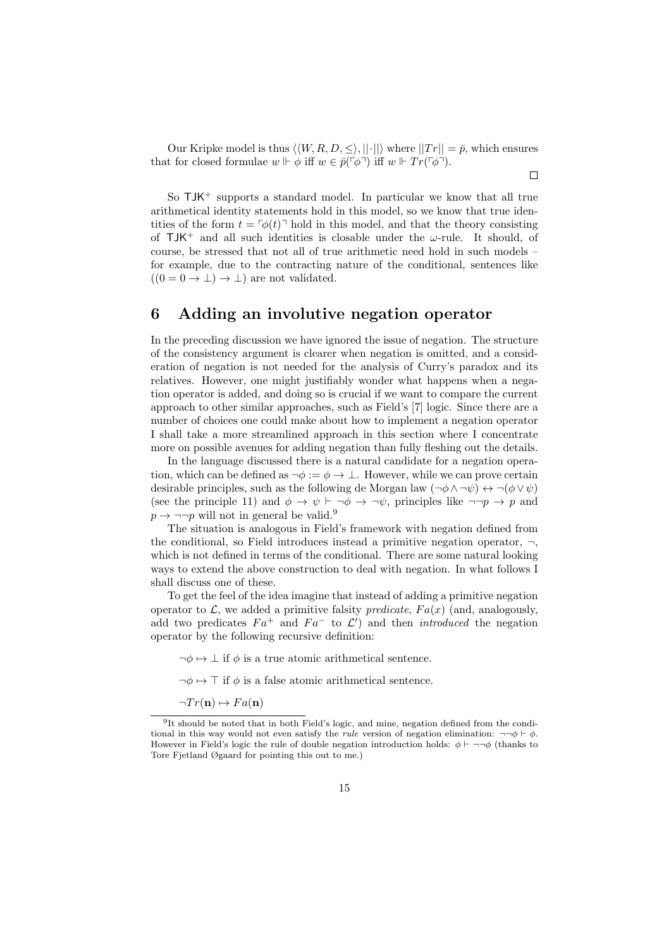Our Kripke model is thus  $\langle \langle W, R, D, \leq \rangle, ||\cdot|| \rangle$  where  $||Tr|| = \bar{p}$ , which ensures that for closed formulae  $w \Vdash \phi$  iff  $w \in \bar{p}(\ulcorner \phi \urcorner)$  iff  $w \Vdash Tr(\ulcorner \phi \urcorner)$ .

 $\Box$ 

So  $TM^+$  supports a standard model. In particular we know that all true arithmetical identity statements hold in this model, so we know that true identities of the form  $t = \lceil \phi(t) \rceil$  hold in this model, and that the theory consisting of  $TJK^+$  and all such identities is closable under the  $\omega$ -rule. It should, of course, be stressed that not all of true arithmetic need hold in such models – for example, due to the contracting nature of the conditional, sentences like  $((0 = 0 \rightarrow \bot) \rightarrow \bot)$  are not validated.

# 6 Adding an involutive negation operator

In the preceding discussion we have ignored the issue of negation. The structure of the consistency argument is clearer when negation is omitted, and a consideration of negation is not needed for the analysis of Curry's paradox and its relatives. However, one might justifiably wonder what happens when a negation operator is added, and doing so is crucial if we want to compare the current approach to other similar approaches, such as Field's [7] logic. Since there are a number of choices one could make about how to implement a negation operator I shall take a more streamlined approach in this section where I concentrate more on possible avenues for adding negation than fully fleshing out the details.

In the language discussed there is a natural candidate for a negation operation, which can be defined as  $\neg \phi := \phi \rightarrow \bot$ . However, while we can prove certain desirable principles, such as the following de Morgan law  $(\neg \phi \land \neg \psi) \leftrightarrow \neg (\phi \lor \psi)$ (see the principle 11) and  $\phi \to \psi \vdash \neg \phi \to \neg \psi$ , principles like  $\neg \neg p \to p$  and  $p \rightarrow \neg\neg p$  will not in general be valid.<sup>9</sup>

The situation is analogous in Field's framework with negation defined from the conditional, so Field introduces instead a primitive negation operator,  $\neg$ , which is not defined in terms of the conditional. There are some natural looking ways to extend the above construction to deal with negation. In what follows I shall discuss one of these.

To get the feel of the idea imagine that instead of adding a primitive negation operator to  $\mathcal{L}$ , we added a primitive falsity *predicate*,  $Fa(x)$  (and, analogously, add two predicates  $Fa^+$  and  $Fa^-$  to  $\mathcal{L}'$  and then *introduced* the negation operator by the following recursive definition:

 $\neg \phi \mapsto \bot$  if  $\phi$  is a true atomic arithmetical sentence.

 $\neg \phi \mapsto \top$  if  $\phi$  is a false atomic arithmetical sentence.

 $\neg Tr(\mathbf{n}) \mapsto Fa(\mathbf{n})$ 

<sup>9</sup> It should be noted that in both Field's logic, and mine, negation defined from the conditional in this way would not even satisfy the *rule* version of negation elimination:  $\neg\neg \phi \vdash \phi$ . However in Field's logic the rule of double negation introduction holds:  $\phi \vdash \neg\neg\phi$  (thanks to Tore Fjetland Øgaard for pointing this out to me.)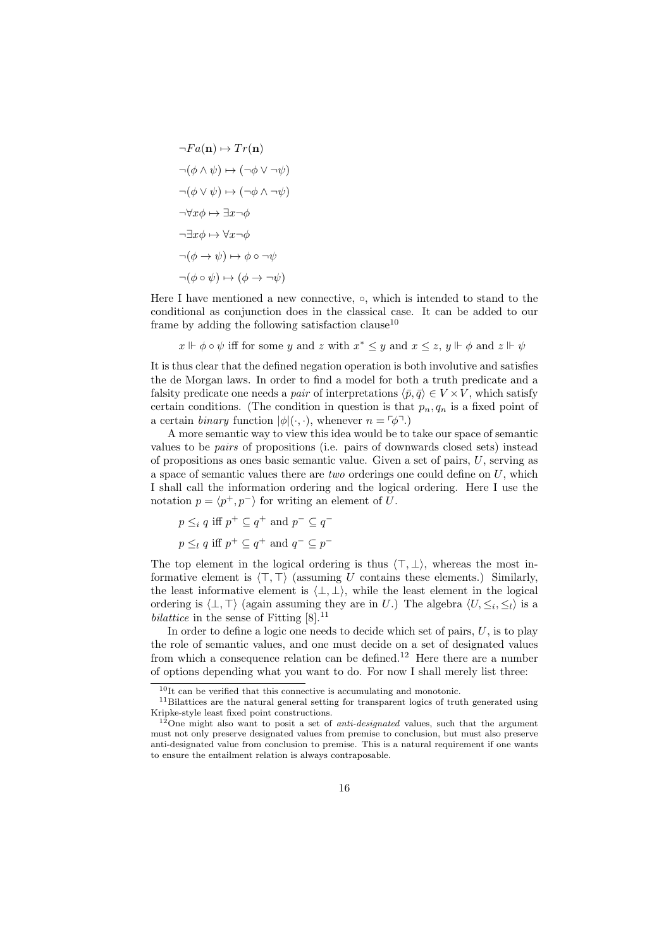$$
\neg Fa(\mathbf{n}) \mapsto Tr(\mathbf{n})
$$
  
\n
$$
\neg(\phi \land \psi) \mapsto (\neg \phi \lor \neg \psi)
$$
  
\n
$$
\neg(\phi \lor \psi) \mapsto (\neg \phi \land \neg \psi)
$$
  
\n
$$
\neg \forall x \phi \mapsto \exists x \neg \phi
$$
  
\n
$$
\neg \exists x \phi \mapsto \forall x \neg \phi
$$
  
\n
$$
\neg(\phi \rightarrow \psi) \mapsto \phi \circ \neg \psi
$$
  
\n
$$
\neg(\phi \circ \psi) \mapsto (\phi \rightarrow \neg \psi)
$$

Here I have mentioned a new connective,  $\circ$ , which is intended to stand to the conditional as conjunction does in the classical case. It can be added to our frame by adding the following satisfaction clause<sup>10</sup>

$$
x \Vdash \phi \circ \psi
$$
 iff for some y and z with  $x^* \leq y$  and  $x \leq z$ ,  $y \Vdash \phi$  and  $z \Vdash \psi$ 

It is thus clear that the defined negation operation is both involutive and satisfies the de Morgan laws. In order to find a model for both a truth predicate and a falsity predicate one needs a *pair* of interpretations  $\langle \bar{p}, \bar{q} \rangle \in V \times V$ , which satisfy certain conditions. (The condition in question is that  $p_n, q_n$  is a fixed point of a certain *binary* function  $|\phi|(\cdot, \cdot)$ , whenever  $n = \lceil \phi \rceil$ .

A more semantic way to view this idea would be to take our space of semantic values to be pairs of propositions (i.e. pairs of downwards closed sets) instead of propositions as ones basic semantic value. Given a set of pairs, U, serving as a space of semantic values there are *two* orderings one could define on  $U$ , which I shall call the information ordering and the logical ordering. Here I use the notation  $p = \langle p^+, p^- \rangle$  for writing an element of U.

$$
p \leq_i q \text{ iff } p^+ \subseteq q^+ \text{ and } p^- \subseteq q^-
$$
  

$$
p \leq_l q \text{ iff } p^+ \subseteq q^+ \text{ and } q^- \subseteq p^-
$$

The top element in the logical ordering is thus  $\langle \top, \bot \rangle$ , whereas the most informative element is  $\langle \top, \top \rangle$  (assuming U contains these elements.) Similarly, the least informative element is  $\langle \perp, \perp \rangle$ , while the least element in the logical ordering is  $\langle \perp, \perp \rangle$  (again assuming they are in U.) The algebra  $\langle U, \leq_i, \leq_l \rangle$  is a bilattice in the sense of Fitting  $[8]$ .<sup>11</sup>

In order to define a logic one needs to decide which set of pairs,  $U$ , is to play the role of semantic values, and one must decide on a set of designated values from which a consequence relation can be defined.<sup>12</sup> Here there are a number of options depending what you want to do. For now I shall merely list three:

 $^{10}\mathrm{It}$  can be verified that this connective is accumulating and monotonic.

<sup>&</sup>lt;sup>11</sup>Bilattices are the natural general setting for transparent logics of truth generated using Kripke-style least fixed point constructions.

 $12$ One might also want to posit a set of *anti-designated* values, such that the argument must not only preserve designated values from premise to conclusion, but must also preserve anti-designated value from conclusion to premise. This is a natural requirement if one wants to ensure the entailment relation is always contraposable.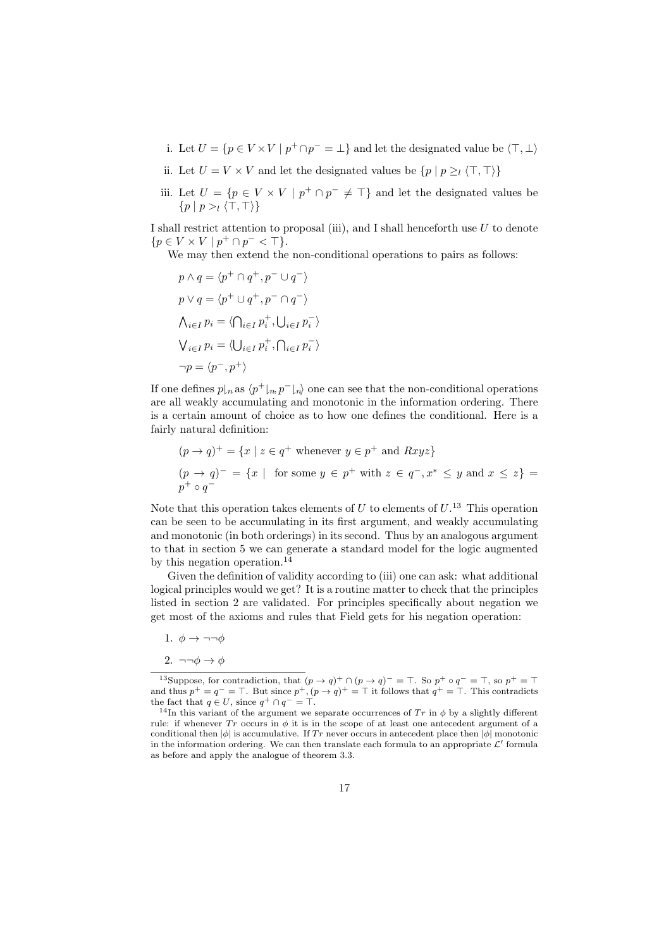- i. Let  $U = \{ p \in V \times V \mid p^+ \cap p^- = \bot \}$  and let the designated value be  $\langle \top, \bot \rangle$
- ii. Let  $U = V \times V$  and let the designated values be  $\{p \mid p \geq i \langle \top, \top \rangle\}$
- iii. Let  $U = \{p \in V \times V \mid p^+ \cap p^- \neq \top\}$  and let the designated values be  $\{p \mid p > \overline{(\top, \top)}\}$

I shall restrict attention to proposal (iii), and I shall henceforth use U to denote  ${p \in V \times V \mid p^+ \cap p^- < \top}.$ 

We may then extend the non-conditional operations to pairs as follows:

$$
p \wedge q = \langle p^+ \cap q^+, p^- \cup q^- \rangle
$$
  
\n
$$
p \vee q = \langle p^+ \cup q^+, p^- \cap q^- \rangle
$$
  
\n
$$
\bigwedge_{i \in I} p_i = \langle \bigcap_{i \in I} p_i^+, \bigcup_{i \in I} p_i^- \rangle
$$
  
\n
$$
\bigvee_{i \in I} p_i = \langle \bigcup_{i \in I} p_i^+, \bigcap_{i \in I} p_i^- \rangle
$$
  
\n
$$
\neg p = \langle p^-, p^+ \rangle
$$

If one defines  $p\vert_n$  as  $\langle p^+\vert_n, p^-\vert_n\rangle$  one can see that the non-conditional operations are all weakly accumulating and monotonic in the information ordering. There is a certain amount of choice as to how one defines the conditional. Here is a fairly natural definition:

$$
(p \to q)^+ = \{x \mid z \in q^+ \text{ whenever } y \in p^+ \text{ and } Rxyz\}
$$
  
\n
$$
(p \to q)^- = \{x \mid \text{ for some } y \in p^+ \text{ with } z \in q^-, x^* \le y \text{ and } x \le z\} =
$$
  
\n
$$
p^+ \circ q^-
$$

Note that this operation takes elements of  $U$  to elements of  $U$ .<sup>13</sup> This operation can be seen to be accumulating in its first argument, and weakly accumulating and monotonic (in both orderings) in its second. Thus by an analogous argument to that in section 5 we can generate a standard model for the logic augmented by this negation operation.<sup>14</sup>

Given the definition of validity according to (iii) one can ask: what additional logical principles would we get? It is a routine matter to check that the principles listed in section 2 are validated. For principles specifically about negation we get most of the axioms and rules that Field gets for his negation operation:

- 1.  $\phi \rightarrow \neg \neg \phi$
- 2.  $\neg\neg \phi \rightarrow \phi$

<sup>&</sup>lt;sup>13</sup>Suppose, for contradiction, that  $(p \to q)^+ \cap (p \to q)^- = \top$ . So  $p^+ \circ q^- = \top$ , so  $p^+ = \top$ and thus  $p^+ = q^- = \top$ . But since  $p^+$ ,  $(p \to q)^+ = \top$  it follows that  $q^+ = \top$ . This contradicts the fact that  $q \in U$ , since  $q^+ \cap q^- = \top$ .

<sup>&</sup>lt;sup>14</sup>In this variant of the argument we separate occurrences of Tr in  $\phi$  by a slightly different rule: if whenever  $Tr$  occurs in  $\phi$  it is in the scope of at least one antecedent argument of a conditional then  $|\phi|$  is accumulative. If Tr never occurs in antecedent place then  $|\phi|$  monotonic in the information ordering. We can then translate each formula to an appropriate  $\mathcal{L}'$  formula as before and apply the analogue of theorem 3.3.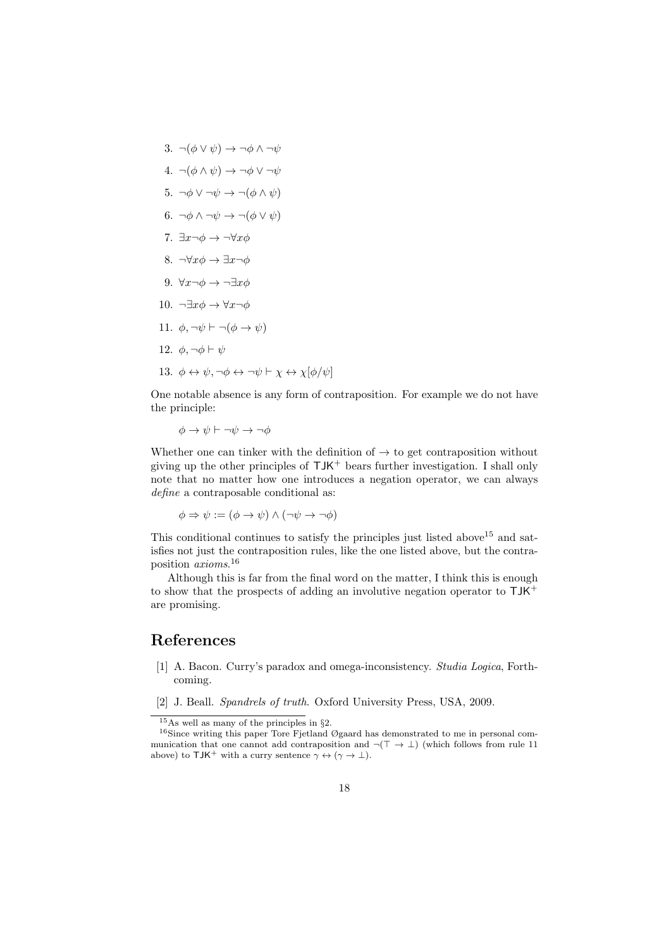3.  $\neg(\phi \lor \psi) \rightarrow \neg \phi \land \neg \psi$ 4.  $\neg(\phi \land \psi) \rightarrow \neg \phi \lor \neg \psi$ 5.  $\neg \phi \lor \neg \psi \rightarrow \neg (\phi \land \psi)$ 6.  $\neg \phi \land \neg \psi \rightarrow \neg (\phi \lor \psi)$ 7.  $\exists x \neg \phi \rightarrow \neg \forall x \phi$ 8.  $\neg\forall x \phi \rightarrow \exists x \neg \phi$ 9.  $\forall x \neg \phi \rightarrow \neg \exists x \phi$ 10.  $\neg \exists x \phi \rightarrow \forall x \neg \phi$ 11.  $\phi, \neg \psi \vdash \neg (\phi \rightarrow \psi)$ 12.  $\phi, \neg \phi \vdash \psi$ 13.  $\phi \leftrightarrow \psi$ ,  $\neg \phi \leftrightarrow \neg \psi \vdash \chi \leftrightarrow \chi[\phi/\psi]$ 

One notable absence is any form of contraposition. For example we do not have the principle:

 $\phi \to \psi \vdash \neg \psi \to \neg \phi$ 

Whether one can tinker with the definition of  $\rightarrow$  to get contraposition without giving up the other principles of  $TJK^+$  bears further investigation. I shall only note that no matter how one introduces a negation operator, we can always define a contraposable conditional as:

$$
\phi \Rightarrow \psi := (\phi \rightarrow \psi) \land (\neg \psi \rightarrow \neg \phi)
$$

This conditional continues to satisfy the principles just listed above  $15$  and satisfies not just the contraposition rules, like the one listed above, but the contraposition axioms. 16

Although this is far from the final word on the matter, I think this is enough to show that the prospects of adding an involutive negation operator to  $TJK^+$ are promising.

## References

- [1] A. Bacon. Curry's paradox and omega-inconsistency. Studia Logica, Forthcoming.
- [2] J. Beall. Spandrels of truth. Oxford University Press, USA, 2009.

 $15\text{As}$  well as many of the principles in §2.

 $16$ Since writing this paper Tore Fjetland Øgaard has demonstrated to me in personal communication that one cannot add contraposition and  $\neg(\top \rightarrow \bot)$  (which follows from rule 11) above) to TJK<sup>+</sup> with a curry sentence  $\gamma \leftrightarrow (\gamma \rightarrow \bot)$ .